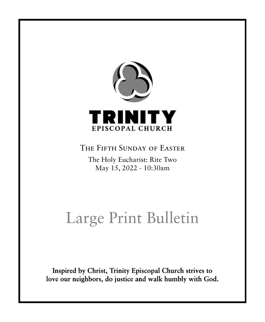

The Fifth Sunday of Easter

The Holy Eucharist: Rite Two May 15, 2022 - 10:30am

# Large Print Bulletin

**Inspired by Christ, Trinity Episcopal Church strives to love our neighbors, do justice and walk humbly with God.**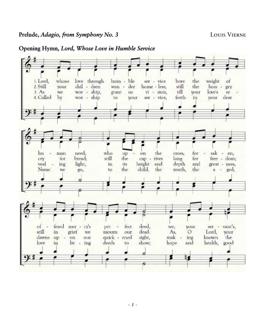

#### **Opening Hymn***, Lord, Whose Love in Humble Service*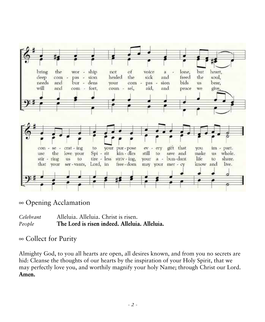

∞ Opening Acclamation

*Celebrant* Alleluia. Alleluia. Christ is risen. *People* **The Lord is risen indeed. Alleluia. Alleluia.**

∞ Collect for Purity

Almighty God, to you all hearts are open, all desires known, and from you no secrets are hid: Cleanse the thoughts of our hearts by the inspiration of your Holy Spirit, that we may perfectly love you, and worthily magnify your holy Name; through Christ our Lord. **Amen.**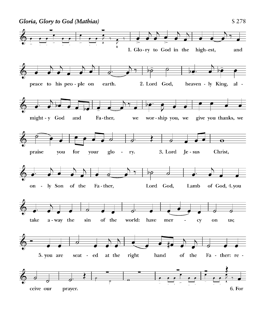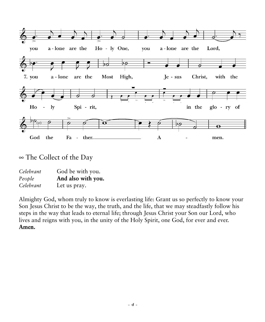

∞ The Collect of the Day

| Celebrant | God be with you.   |
|-----------|--------------------|
| People    | And also with you. |
| Celebrant | Let us pray.       |

Almighty God, whom truly to know is everlasting life: Grant us so perfectly to know your Son Jesus Christ to be the way, the truth, and the life, that we may steadfastly follow his steps in the way that leads to eternal life; through Jesus Christ your Son our Lord, who lives and reigns with you, in the unity of the Holy Spirit, one God, for ever and ever. **Amen.**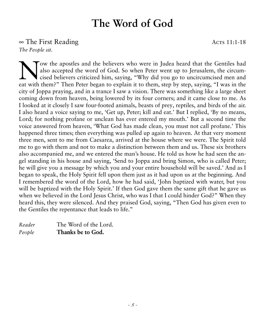# **The Word of God**

 $\infty$  The First Reading  $\Delta$  Acts 11:1-18

*The People sit.*

Now the apostles and the believers who were in Judea heard that the Gentiles had<br>also accepted the word of God. So when Peter went up to Jerusalem, the circum-<br>cised believers criticized him, saying, "Why did you go to unc also accepted the word of God. So when Peter went up to Jerusalem, the circumcised believers criticized him, saying, "Why did you go to uncircumcised men and eat with them?" Then Peter began to explain it to them, step by step, saying, "I was in the city of Joppa praying, and in a trance I saw a vision. There was something like a large sheet coming down from heaven, being lowered by its four corners; and it came close to me. As I looked at it closely I saw four-footed animals, beasts of prey, reptiles, and birds of the air. I also heard a voice saying to me, 'Get up, Peter; kill and eat.' But I replied, 'By no means, Lord; for nothing profane or unclean has ever entered my mouth.' But a second time the voice answered from heaven, 'What God has made clean, you must not call profane.' This happened three times; then everything was pulled up again to heaven. At that very moment three men, sent to me from Caesarea, arrived at the house where we were. The Spirit told me to go with them and not to make a distinction between them and us. These six brothers also accompanied me, and we entered the man's house. He told us how he had seen the angel standing in his house and saying, 'Send to Joppa and bring Simon, who is called Peter; he will give you a message by which you and your entire household will be saved.' And as I began to speak, the Holy Spirit fell upon them just as it had upon us at the beginning. And I remembered the word of the Lord, how he had said, 'John baptized with water, but you will be baptized with the Holy Spirit.' If then God gave them the same gift that he gave us when we believed in the Lord Jesus Christ, who was I that I could hinder God?" When they heard this, they were silenced. And they praised God, saying, "Then God has given even to the Gentiles the repentance that leads to life."

*Reader* The Word of the Lord. *People* **Thanks be to God.**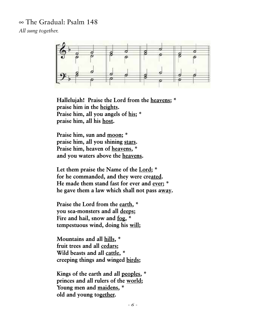## ∞ The Gradual: Psalm 148

*All sung together.*



 **Hallelujah! Praise the Lord from the heavens; \* praise him in the heights. Praise him, all you angels of his; \* praise him, all his host.**

 **Praise him, sun and moon; \* praise him, all you shining stars. Praise him, heaven of heavens, \* and you waters above the heavens.**

 **Let them praise the Name of the Lord; \* for he commanded, and they were created. He made them stand fast for ever and ever; \* he gave them a law which shall not pass away.**

 **Praise the Lord from the earth, \* you sea-monsters and all deeps; Fire and hail, snow and fog, \* tempestuous wind, doing his will;**

 **Mountains and all hills, \* fruit trees and all cedars; Wild beasts and all cattle, \* creeping things and winged birds;**

 **Kings of the earth and all peoples, \* princes and all rulers of the world; Young men and maidens, \* old and young together.**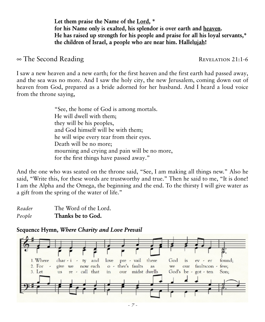**Let them praise the Name of the Lord, \* for his Name only is exalted, his splendor is over earth and heaven. He has raised up strength for his people and praise for all his loyal servants,\* the children of Israel, a people who are near him. Hallelujah!**

∞ The Second Reading Revelation 21:1-6

I saw a new heaven and a new earth; for the first heaven and the first earth had passed away, and the sea was no more. And I saw the holy city, the new Jerusalem, coming down out of heaven from God, prepared as a bride adorned for her husband. And I heard a loud voice from the throne saying,

> "See, the home of God is among mortals. He will dwell with them; they will be his peoples, and God himself will be with them; he will wipe every tear from their eyes. Death will be no more; mourning and crying and pain will be no more, for the first things have passed away."

And the one who was seated on the throne said, "See, I am making all things new." Also he said, "Write this, for these words are trustworthy and true." Then he said to me, "It is done! I am the Alpha and the Omega, the beginning and the end. To the thirsty I will give water as a gift from the spring of the water of life."

*Reader* The Word of the Lord. *People* **Thanks be to God.**

#### **Sequence Hymn,** *Where Charity and Love Prevail*

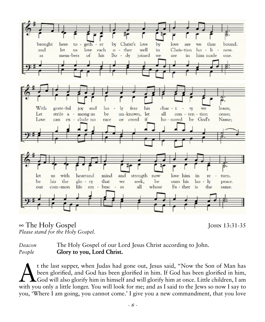

 $\infty$  The Holy Gospel John 13:31-35 *Please stand for the Holy Gospel.* 

*Deacon* The Holy Gospel of our Lord Jesus Christ according to John. *People* **Glory to you, Lord Christ.**

t the last supper, when Judas had gone out, Jesus said, "Now the Son of Man has been glorified, and God has been glorified in him, If God has been glorified in him, God will also glorify him in himself and will glorify him been glorified, and God has been glorified in him. If God has been glorified in him, with you only a little longer. You will look for me; and as I said to the Jews so now I say to you, 'Where I am going, you cannot come.' I give you a new commandment, that you love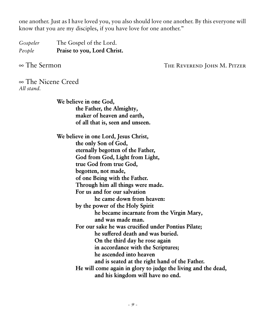one another. Just as I have loved you, you also should love one another. By this everyone will know that you are my disciples, if you have love for one another."

*Gospeler* The Gospel of the Lord. *People* **Praise to you, Lord Christ.** 

∞ The Sermon The Reverend John M. Pitzer

∞ The Nicene Creed *All stand.*

> **We believe in one God, the Father, the Almighty, maker of heaven and earth, of all that is, seen and unseen. We believe in one Lord, Jesus Christ, the only Son of God, eternally begotten of the Father, God from God, Light from Light, true God from true God, begotten, not made, of one Being with the Father. Through him all things were made. For us and for our salvation he came down from heaven: by the power of the Holy Spirit he became incarnate from the Virgin Mary, and was made man. For our sake he was crucified under Pontius Pilate; he suffered death and was buried. On the third day he rose again in accordance with the Scriptures; he ascended into heaven and is seated at the right hand of the Father. He will come again in glory to judge the living and the dead, and his kingdom will have no end.**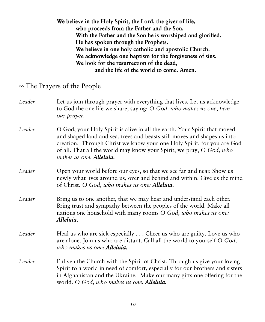**We believe in the Holy Spirit, the Lord, the giver of life, who proceeds from the Father and the Son. With the Father and the Son he is worshiped and glorified. He has spoken through the Prophets. We believe in one holy catholic and apostolic Church. We acknowledge one baptism for the forgiveness of sins. We look for the resurrection of the dead, and the life of the world to come. Amen.**

∞ The Prayers of the People

| Leader | Let us join through prayer with everything that lives. Let us acknowledge<br>to God the one life we share, saying: O God, who makes us one, hear<br>our prayer.                                                                                                                                                                           |
|--------|-------------------------------------------------------------------------------------------------------------------------------------------------------------------------------------------------------------------------------------------------------------------------------------------------------------------------------------------|
| Leader | O God, your Holy Spirit is alive in all the earth. Your Spirit that moved<br>and shaped land and sea, trees and beasts still moves and shapes us into<br>creation. Through Christ we know your one Holy Spirit, for you are God<br>of all. That all the world may know your Spirit, we pray, O God, who<br>makes us one: <b>Alleluia.</b> |
| Leader | Open your world before our eyes, so that we see far and near. Show us<br>newly what lives around us, over and behind and within. Give us the mind<br>of Christ. O God, who makes us one: <b>Alleluia.</b>                                                                                                                                 |
| Leader | Bring us to one another, that we may hear and understand each other.<br>Bring trust and sympathy between the peoples of the world. Make all<br>nations one household with many rooms O God, who makes us one:<br>Alleluia.                                                                                                                |
| Leader | Heal us who are sick especially $\ldots$ Cheer us who are guilty. Love us who<br>are alone. Join us who are distant. Call all the world to yourself $O God$ ,<br>who makes us one: <b>Alleluia.</b>                                                                                                                                       |
| Leader | Enliven the Church with the Spirit of Christ. Through us give your loving<br>Spirit to a world in need of comfort, especially for our brothers and sisters<br>in Afghanistan and the Ukraine. Make our many gifts one offering for the<br>world. O God, who makes us one: <b>Alleluia.</b>                                                |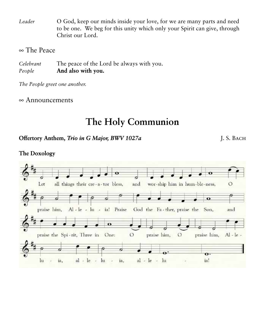*Leader* O God, keep our minds inside your love, for we are many parts and need to be one. We beg for this unity which only your Spirit can give, through Christ our Lord.

#### ∞ The Peace

*Celebrant* The peace of the Lord be always with you. *People* **And also with you.**

*The People greet one another.*

#### ∞ Announcements

## **The Holy Communion**

#### **Offertory Anthem,** *Trio in G Major, BWV 1027a* **J. S. BACH**

#### **The Doxology**

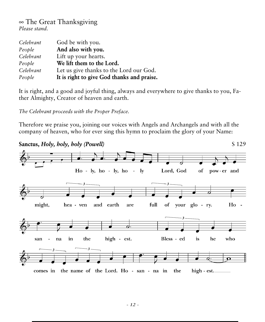#### ∞ The Great Thanksgiving *Please stand.*

| Celebrant | God be with you.                           |
|-----------|--------------------------------------------|
| People    | And also with you.                         |
| Celebrant | Lift up your hearts.                       |
| People    | We lift them to the Lord.                  |
| Celebrant | Let us give thanks to the Lord our God.    |
| People    | It is right to give God thanks and praise. |

It is right, and a good and joyful thing, always and everywhere to give thanks to you, Father Almighty, Creator of heaven and earth.

*The Celebrant proceeds with the Proper Preface.*

Therefore we praise you, joining our voices with Angels and Archangels and with all the company of heaven, who for ever sing this hymn to proclaim the glory of your Name:

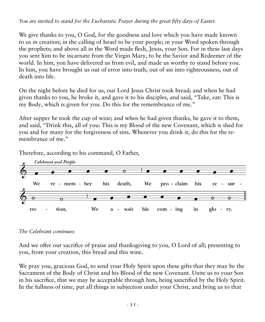#### *You are invited to stand for the Eucharistic Prayer during the great fifty days of Easter.*

We give thanks to you, O God, for the goodness and love which you have made known to us in creation; in the calling of Israel to be your people; in your Word spoken through the prophets; and above all in the Word made flesh, Jesus, your Son. For in these last days you sent him to be incarnate from the Virgin Mary, to be the Savior and Redeemer of the world. In him, you have delivered us from evil, and made us worthy to stand before you. In him, you have brought us out of error into truth, out of sin into righteousness, out of death into life.

On the night before he died for us, our Lord Jesus Christ took bread; and when he had given thanks to you, he broke it, and gave it to his disciples, and said, "Take, eat: This is my Body, which is given for you. Do this for the remembrance of me."

After supper he took the cup of wine; and when he had given thanks, he gave it to them, and said, "Drink this, all of you: This is my Blood of the new Covenant, which is shed for you and for many for the forgiveness of sins. Whenever you drink it, do this for the remembrance of me."

Therefore, according to his command, O Father,



#### *The Celebrant continues*

And we offer our sacrifice of praise and thanksgiving to you, O Lord of all; presenting to you, from your creation, this bread and this wine.

We pray you, gracious God, to send your Holy Spirit upon these gifts that they may be the Sacrament of the Body of Christ and his Blood of the new Covenant. Unite us to your Son in his sacrifice, that we may be acceptable through him, being sanctified by the Holy Spirit. In the fullness of time, put all things in subjection under your Christ, and bring us to that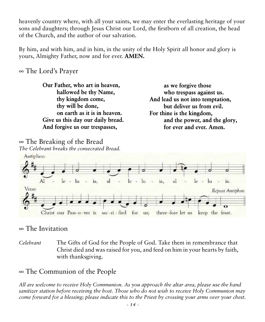heavenly country where, with all your saints, we may enter the everlasting heritage of your sons and daughters; through Jesus Christ our Lord, the firstborn of all creation, the head of the Church, and the author of our salvation.

By him, and with him, and in him, in the unity of the Holy Spirit all honor and glory is yours, Almighty Father, now and for ever. **AMEN.**

∞ The Lord's Prayer

 **Our Father, who art in heaven, hallowed be thy Name, thy kingdom come, thy will be done, on earth as it is in heaven. Give us this day our daily bread. And forgive us our trespasses,** 

 **as we forgive those who trespass against us. And lead us not into temptation, but deliver us from evil. For thine is the kingdom, and the power, and the glory, for ever and ever. Amen.** 

∞ The Breaking of the Bread





#### ∞ The Invitation

*Celebrant* The Gifts of God for the People of God. Take them in remembrance that Christ died and was raised for you, and feed on him in your hearts by faith, with thanksgiving.

#### ∞ The Communion of the People

*All are welcome to receive Holy Communion. As you approach the altar area, please use the hand sanitizer station before receiving the host. Those who do not wish to receive Holy Communion may come forward for a blessing; please indicate this to the Priest by crossing your arms over your chest.*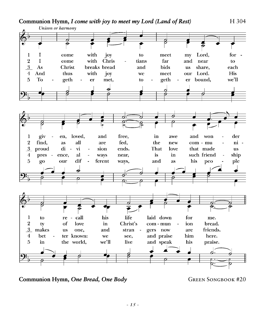**Communion Hymn,** *I come with joy to meet my Lord (Land of Rest)* **H 304** 



**Communion Hymn, One Bread, One Body** GREEN SONGBOOK #20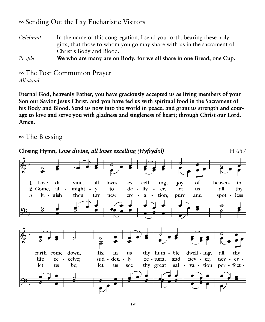#### ∞ Sending Out the Lay Eucharistic Visitors

*Celebrant* In the name of this congregation, I send you forth, bearing these holy gifts, that those to whom you go may share with us in the sacrament of Christ's Body and Blood.

*People* **We who are many are on Body, for we all share in one Bread, one Cup.** 

∞ The Post Communion Prayer *All stand.*

**Eternal God, heavenly Father, you have graciously accepted us as living members of your Son our Savior Jesus Christ, and you have fed us with spiritual food in the Sacrament of his Body and Blood. Send us now into the world in peace, and grant us strength and courage to love and serve you with gladness and singleness of heart; through Christ our Lord. Amen.**

#### ∞ The Blessing

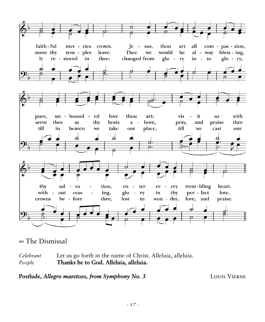

#### ∞ The Dismissal

*Celebrant* Let us go forth in the name of Christ. Alleluia, alleluia. *People* **Thanks be to God. Alleluia, alleluia.**

#### **Postlude, Allegro maestoso, from Symphony No. 3<br>
LOUIS VIERNE**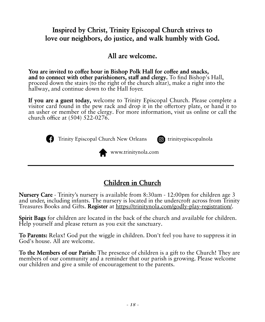## **Inspired by Christ, Trinity Episcopal Church strives to love our neighbors, do justice, and walk humbly with God.**

## **All are welcome.**

**You are invited to coffee hour in Bishop Polk Hall for coffee and snacks, and to connect with other parishioners, staff and clergy.** To find Bishop's Hall, proceed down the stairs (to the right of the church altar), make a right into the hallway, and continue down to the Hall foyer.

**If you are a guest today,** welcome to Trinity Episcopal Church. Please complete a visitor card found in the pew rack and drop it in the offertory plate, or hand it to an usher or member of the clergy. For more information, visit us online or call the church office at (504) 522-0276.



**Trinity Episcopal Church New Orleans Trinityepiscopalnola** 





www.trinitynola.com

## **Children in Church**

**Nursery Care** - Trinity's nursery is available from 8:30am - 12:00pm for children age 3 and under, including infants. The nursery is located in the undercroft across from Trinity Treasures Books and Gifts. **Register** at https://trinitynola.com/godly-play-registration/.

**Spirit Bags** for children are located in the back of the church and available for children. Help yourself and please return as you exit the sanctuary.

**To Parents:** Relax! God put the wiggle in children. Don't feel you have to suppress it in God's house. All are welcome.

**To the Members of our Parish:** The presence of children is a gift to the Church! They are members of our community and a reminder that our parish is growing. Please welcome our children and give a smile of encouragement to the parents.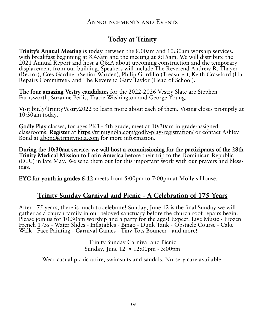#### Announcements and Events

## **Today at Trinity**

**Trinity's Annual Meeting is today** between the 8:00am and 10:30am worship services, with breakfast beginning at 8:45am and the meeting at 9:15am. We will distribute the 2021 Annual Report and host a Q&A about upcoming construction and the temporary displacement from our building. Speakers will include The Reverend Andrew R. Thayer (Rector), Cres Gardner (Senior Warden), Philip Gordillo (Treasurer), Keith Crawford (Ida Repairs Committee), and The Reverend Gary Taylor (Head of School).

**The four amazing Vestry candidates** for the 2022-2026 Vestry Slate are Stephen Farnsworth, Suzanne Perlis, Tracie Washington and George Young.

Visit bit.ly/TrinityVestry2022 to learn more about each of them. Voting closes promptly at 10:30am today.

**Godly Play** classes, for ages PK3 - 5th grade, meet at 10:30am in grade-assigned classrooms. **Register** at https://trinitynola.com/godly-play-registration/ or contact Ashley Bond at abond@trinitynola.com for more information.

**During the 10:30am service, we will host a commissioning for the participants of the 28th Trinity Medical Mission to Latin America** before their trip to the Dominican Republic (D.R.) in late May. We send them out for this important work with our prayers and blessings.

**EYC for youth in grades 6-12** meets from 5:00pm to 7:00pm at Molly's House.

## **Trinity Sunday Carnival and Picnic - A Celebration of 175 Years**

After 175 years, there is much to celebrate! Sunday, June 12 is the final Sunday we will gather as a church family in our beloved sanctuary before the church roof repairs begin. Please join us for 10:30am worship and a party for the ages! Expect: Live Music - Frozen French 175s - Water Slides - Inflatables - Bingo - Dunk Tank - Obstacle Course - Cake Walk - Face Painting - Carnival Games - Tiny Tots Bouncer - and more!

> Trinity Sunday Carnival and Picnic Sunday, June 12 • 12:00pm - 3:00pm

Wear casual picnic attire, swimsuits and sandals. Nursery care available.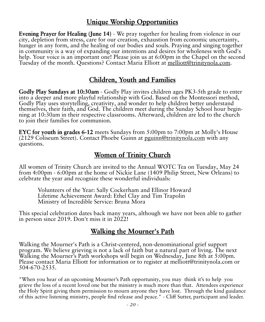## **Unique Worship Opportunities**

**Evening Prayer for Healing (June 14)** - We pray together for healing from violence in our city, depletion from stress, care for our creation, exhaustion from economic uncertainty, hunger in any form, and the healing of our bodies and souls. Praying and singing together in community is a way of expanding our intentions and desires for wholeness with God's help. Your voice is an important one! Please join us at 6:00pm in the Chapel on the second Tuesday of the month. Questions? Contact Maria Elliott at melliott@trinitynola.com.

## **Children, Youth and Families**

**Godly Play Sundays at 10:30am** -Godly Play invites children ages PK3-5th grade to enter into a deeper and more playful relationship with God. Based on the Montessori method, Godly Play uses storytelling, creativity, and wonder to help children better understand themselves, their faith, and God. The children meet during the Sunday School hour beginning at 10:30am in their respective classrooms. Afterward, children are led to the church to join their families for communion.

**EYC for youth in grades 6-12** meets Sundays from 5:00pm to 7:00pm at Molly's House (2129 Coliseum Street). Contact Phoebe Guinn at pguinn@trinitynola.com with any questions.

## **Women of Trinity Church**

All women of Trinity Church are invited to the Annual WOTC Tea on Tuesday, May 24 from 4:00pm - 6:00pm at the home of Nickie Lane (1409 Philip Street, New Orleans) to celebrate the year and recognize these wonderful individuals:

Volunteers of the Year: Sally Cockerham and Ellinor Howard Lifetime Achievement Award: Ethel Clay and Tim Trapolin Ministry of Incredible Service: Bruna Mora

This special celebration dates back many years, although we have not been able to gather in person since 2019. Don't miss it in 2022!

## **Walking the Mourner's Path**

Walking the Mourner's Path is a Christ-centered, non-denominational grief support program. We believe grieving is not a lack of faith but a natural part of living. The next Walking the Mourner's Path workshops will begin on Wednesday, June 8th at 5:00pm. Please contact Maria Elliott for information or to register at melliott@trinitynola.com or 504-670-2535.

"When you hear of an upcoming Mourner's Path opportunity, you may think it's to help you grieve the loss of a recent loved one but the ministry is much more than that. Attendees experience the Holy Spirit giving them permission to mourn anyone they have lost. Through the kind guidance of this active listening ministry, people find release and peace." - Cliff Sutter, participant and leader.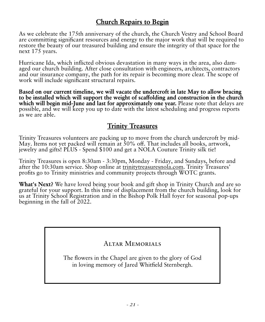## **Church Repairs to Begin**

As we celebrate the 175th anniversary of the church, the Church Vestry and School Board are committing significant resources and energy to the major work that will be required to restore the beauty of our treasured building and ensure the integrity of that space for the next 175 years.

Hurricane Ida, which inflicted obvious devastation in many ways in the area, also dam- aged our church building. After close consultation with engineers, architects, contractors and our insurance company, the path for its repair is becoming more clear. The scope of work will include significant structural repairs.

**Based on our current timeline, we will vacate the undercroft in late May to allow bracing to be installed which will support the weight of scaffolding and construction in the church which will begin mid-June and last for approximately one year.** Please note that delays are possible, and we will keep you up to date with the latest scheduling and progress reports as we are able.

## **Trinity Treasures**

Trinity Treasures volunteers are packing up to move from the church undercroft by mid-May. Items not yet packed will remain at 50% off. That includes all books, artwork, jewelry and gifts! PLUS - Spend \$100 and get a NOLA Couture Trinity silk tie!

Trinity Treasures is open 8:30am - 3:30pm, Monday - Friday, and Sundays, before and after the 10:30am service. Shop online at trinitytreasuresnola.com. Trinity Treasures' profits go to Trinity ministries and community projects through WOTC grants.

**What's Next?** We have loved being your book and gift shop in Trinity Church and are so grateful for your support. In this time of displacement from the church building, look for us at Trinity School Registration and in the Bishop Polk Hall foyer for seasonal pop-ups beginning in the fall of 2022.

#### Altar Memorials

The flowers in the Chapel are given to the glory of God in loving memory of Jared Whitfield Sternbergh.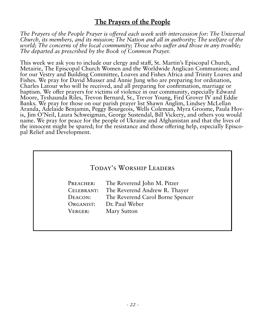## **The Prayers of the People**

*The Prayers of the People Prayer is offered each week with intercession for: The Universal Church, its members, and its mission; The Nation and all in authority; The welfare of the world; The concerns of the local community; Those who suffer and those in any trouble; The departed as prescribed by the Book of Common Prayer.* 

This week we ask you to include our clergy and staff, St. Martin's Episcopal Church, Metairie, The Episcopal Church Women and the Worldwide Anglican Communion; and for our Vestry and Building Committee, Loaves and Fishes Africa and Trinity Loaves and Fishes. We pray for David Musser and Annie Jung who are preparing for ordination, Charles Latour who will be received, and all preparing for confirmation, marriage or baptism. We offer prayers for victims of violence in our community, especially Edward Moore, Tyshaunda Riles, Trevon Bernard, Sr., Trevor Young, Fird Grover IV and Eddie Banks. We pray for those on our parish prayer list Shawn Anglim, Lindsey McLellan is, Jim O'Neil, Laura Schweigman, George Sustendal, Bill Vickery, and others you would name. We pray for peace for the people of Ukraine and Afghanistan and that the lives of the innocent might be spared; for the resistance and those offering help, especially Episcopal Relief and Development.

#### Today's Worship Leaders

| PREACHER:  | The Reverend John M. Pitzer      |
|------------|----------------------------------|
| CELEBRANT: | The Reverend Andrew R. Thayer    |
| DEACON:    | The Reverend Carol Borne Spencer |
| ORGANIST:  | Dr. Paul Weber                   |
| VERGER:    | Mary Sutton                      |